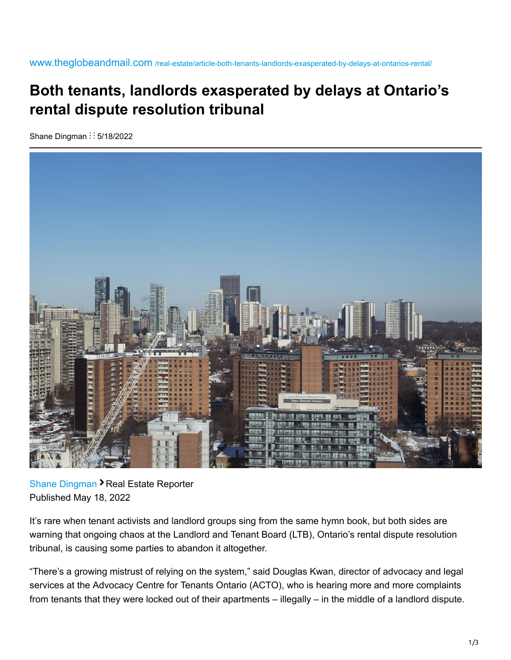www.theglobeandmail.com [/real-estate/article-both-tenants-landlords-exasperated-by-delays-at-ontarios-rental/](https://www.theglobeandmail.com/real-estate/article-both-tenants-landlords-exasperated-by-delays-at-ontarios-rental/)

## **Both tenants, landlords exasperated by delays at Ontario's rental dispute resolution tribunal**

Shane Dingman :: 5/18/2022



[Shane Dingman](https://www.theglobeandmail.com/authors/shane-dingman/) > Real Estate Reporter Published May 18, 2022

It's rare when tenant activists and landlord groups sing from the same hymn book, but both sides are warning that ongoing chaos at the Landlord and Tenant Board (LTB), Ontario's rental dispute resolution tribunal, is causing some parties to abandon it altogether.

"There's a growing mistrust of relying on the system," said Douglas Kwan, director of advocacy and legal services at the Advocacy Centre for Tenants Ontario (ACTO), who is hearing more and more complaints from tenants that they were locked out of their apartments – illegally – in the middle of a landlord dispute.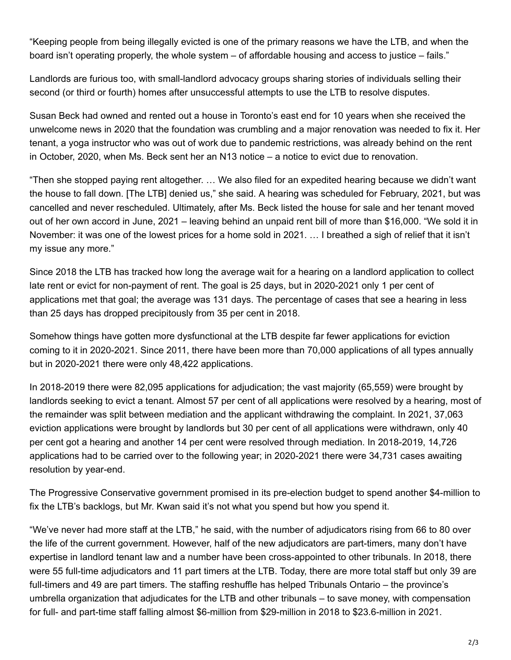"Keeping people from being illegally evicted is one of the primary reasons we have the LTB, and when the board isn't operating properly, the whole system – of affordable housing and access to justice – fails."

Landlords are furious too, with small-landlord advocacy groups sharing stories of individuals selling their second (or third or fourth) homes after unsuccessful attempts to use the LTB to resolve disputes.

Susan Beck had owned and rented out a house in Toronto's east end for 10 years when she received the unwelcome news in 2020 that the foundation was crumbling and a major renovation was needed to fix it. Her tenant, a yoga instructor who was out of work due to pandemic restrictions, was already behind on the rent in October, 2020, when Ms. Beck sent her an N13 notice – a notice to evict due to renovation.

"Then she stopped paying rent altogether. … We also filed for an expedited hearing because we didn't want the house to fall down. [The LTB] denied us," she said. A hearing was scheduled for February, 2021, but was cancelled and never rescheduled. Ultimately, after Ms. Beck listed the house for sale and her tenant moved out of her own accord in June, 2021 – leaving behind an unpaid rent bill of more than \$16,000. "We sold it in November: it was one of the lowest prices for a home sold in 2021. … I breathed a sigh of relief that it isn't my issue any more."

Since 2018 the LTB has tracked how long the average wait for a hearing on a landlord application to collect late rent or evict for non-payment of rent. The goal is 25 days, but in 2020-2021 only 1 per cent of applications met that goal; the average was 131 days. The percentage of cases that see a hearing in less than 25 days has dropped precipitously from 35 per cent in 2018.

Somehow things have gotten more dysfunctional at the LTB despite far fewer applications for eviction coming to it in 2020-2021. Since 2011, there have been more than 70,000 applications of all types annually but in 2020-2021 there were only 48,422 applications.

In 2018-2019 there were 82,095 applications for adjudication; the vast majority (65,559) were brought by landlords seeking to evict a tenant. Almost 57 per cent of all applications were resolved by a hearing, most of the remainder was split between mediation and the applicant withdrawing the complaint. In 2021, 37,063 eviction applications were brought by landlords but 30 per cent of all applications were withdrawn, only 40 per cent got a hearing and another 14 per cent were resolved through mediation. In 2018-2019, 14,726 applications had to be carried over to the following year; in 2020-2021 there were 34,731 cases awaiting resolution by year-end.

The Progressive Conservative government promised in its pre-election budget to spend another \$4-million to fix the LTB's backlogs, but Mr. Kwan said it's not what you spend but how you spend it.

"We've never had more staff at the LTB," he said, with the number of adjudicators rising from 66 to 80 over the life of the current government. However, half of the new adjudicators are part-timers, many don't have expertise in landlord tenant law and a number have been cross-appointed to other tribunals. In 2018, there were 55 full-time adjudicators and 11 part timers at the LTB. Today, there are more total staff but only 39 are full-timers and 49 are part timers. The staffing reshuffle has helped Tribunals Ontario – the province's umbrella organization that adjudicates for the LTB and other tribunals – to save money, with compensation for full- and part-time staff falling almost \$6-million from \$29-million in 2018 to \$23.6-million in 2021.